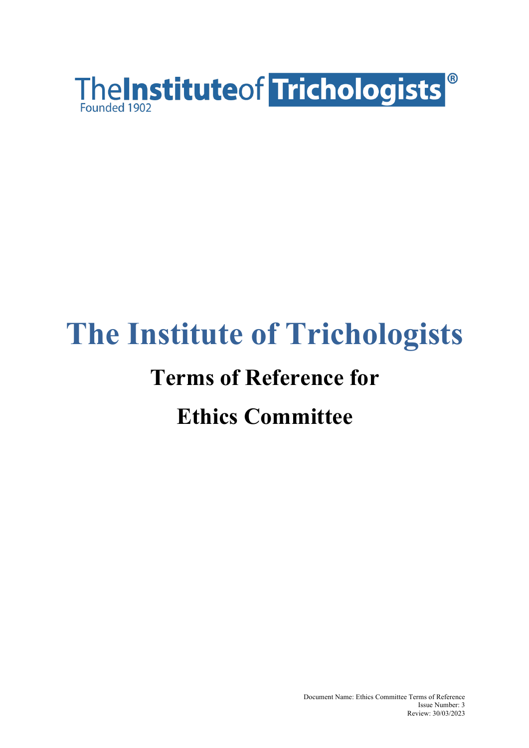

# **The Institute of Trichologists**

### **Terms of Reference for**

## **Ethics Committee**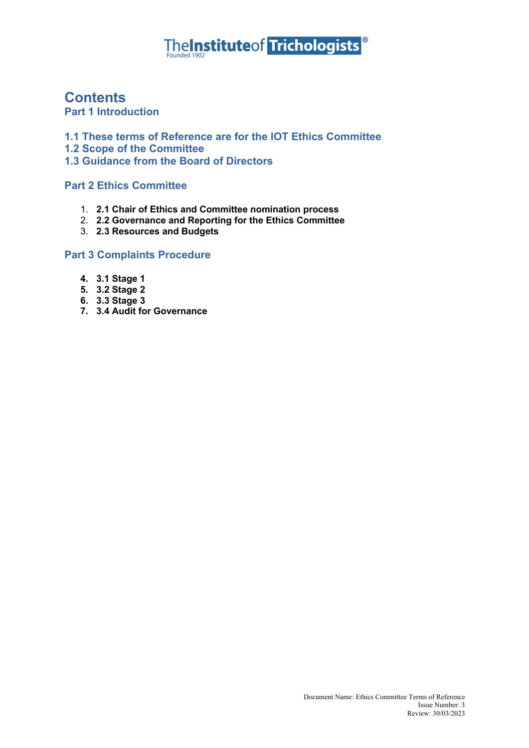# TheInstituteof Trichologists<sup>®</sup>

#### **Contents**

**Part 1 Introduction** 

**1.1 These terms of Reference are for the IOT Ethics Committee**

**1.2 Scope of the Committee**

**1.3 Guidance from the Board of Directors**

**Part 2 Ethics Committee**

- 1. **2.1 Chair of Ethics and Committee nomination process**
- 2. **2.2 Governance and Reporting for the Ethics Committee**
- 3. **2.3 Resources and Budgets**

#### **Part 3 Complaints Procedure**

- **4. 3.1 Stage 1**
- **5. 3.2 Stage 2**
- **6. 3.3 Stage 3**
- **7. 3.4 Audit for Governance**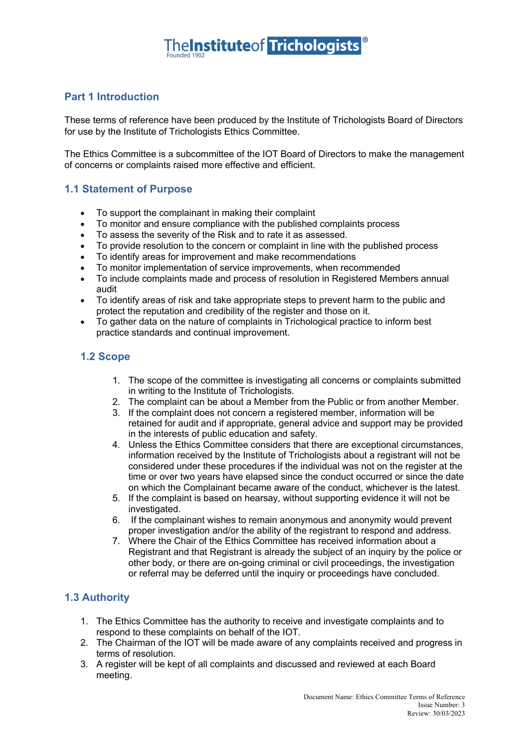#### **Part 1 Introduction**

These terms of reference have been produced by the Institute of Trichologists Board of Directors for use by the Institute of Trichologists Ethics Committee.

The Ethics Committee is a subcommittee of the IOT Board of Directors to make the management of concerns or complaints raised more effective and efficient.

#### **1.1 Statement of Purpose**

- To support the complainant in making their complaint
- To monitor and ensure compliance with the published complaints process
- To assess the severity of the Risk and to rate it as assessed.
- To provide resolution to the concern or complaint in line with the published process
- To identify areas for improvement and make recommendations
- To monitor implementation of service improvements, when recommended
- To include complaints made and process of resolution in Registered Members annual audit
- To identify areas of risk and take appropriate steps to prevent harm to the public and protect the reputation and credibility of the register and those on it.
- To gather data on the nature of complaints in Trichological practice to inform best practice standards and continual improvement.

#### **1.2 Scope**

- 1. The scope of the committee is investigating all concerns or complaints submitted in writing to the Institute of Trichologists.
- 2. The complaint can be about a Member from the Public or from another Member.
- 3. If the complaint does not concern a registered member, information will be retained for audit and if appropriate, general advice and support may be provided in the interests of public education and safety.
- 4. Unless the Ethics Committee considers that there are exceptional circumstances, information received by the Institute of Trichologists about a registrant will not be considered under these procedures if the individual was not on the register at the time or over two years have elapsed since the conduct occurred or since the date on which the Complainant became aware of the conduct, whichever is the latest.
- 5. If the complaint is based on hearsay, without supporting evidence it will not be investigated.
- 6. If the complainant wishes to remain anonymous and anonymity would prevent proper investigation and/or the ability of the registrant to respond and address.
- 7. Where the Chair of the Ethics Committee has received information about a Registrant and that Registrant is already the subject of an inquiry by the police or other body, or there are on-going criminal or civil proceedings, the investigation or referral may be deferred until the inquiry or proceedings have concluded.

#### **1.3 Authority**

- 1. The Ethics Committee has the authority to receive and investigate complaints and to respond to these complaints on behalf of the IOT.
- 2. The Chairman of the IOT will be made aware of any complaints received and progress in terms of resolution.
- 3. A register will be kept of all complaints and discussed and reviewed at each Board meeting.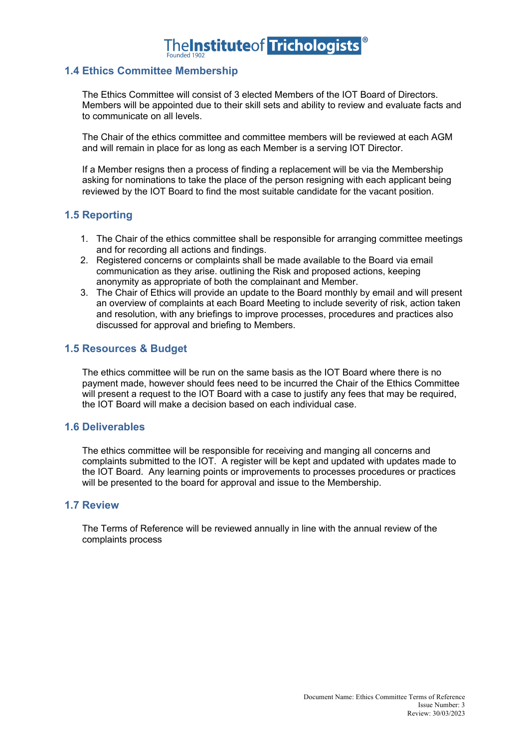### **TheInstituteof Trichologists**

#### **1.4 Ethics Committee Membership**

The Ethics Committee will consist of 3 elected Members of the IOT Board of Directors. Members will be appointed due to their skill sets and ability to review and evaluate facts and to communicate on all levels.

The Chair of the ethics committee and committee members will be reviewed at each AGM and will remain in place for as long as each Member is a serving IOT Director.

If a Member resigns then a process of finding a replacement will be via the Membership asking for nominations to take the place of the person resigning with each applicant being reviewed by the IOT Board to find the most suitable candidate for the vacant position.

#### **1.5 Reporting**

- 1. The Chair of the ethics committee shall be responsible for arranging committee meetings and for recording all actions and findings.
- 2. Registered concerns or complaints shall be made available to the Board via email communication as they arise. outlining the Risk and proposed actions, keeping anonymity as appropriate of both the complainant and Member.
- 3. The Chair of Ethics will provide an update to the Board monthly by email and will present an overview of complaints at each Board Meeting to include severity of risk, action taken and resolution, with any briefings to improve processes, procedures and practices also discussed for approval and briefing to Members.

#### **1.5 Resources & Budget**

The ethics committee will be run on the same basis as the IOT Board where there is no payment made, however should fees need to be incurred the Chair of the Ethics Committee will present a request to the IOT Board with a case to justify any fees that may be required, the IOT Board will make a decision based on each individual case.

#### **1.6 Deliverables**

The ethics committee will be responsible for receiving and manging all concerns and complaints submitted to the IOT. A register will be kept and updated with updates made to the IOT Board. Any learning points or improvements to processes procedures or practices will be presented to the board for approval and issue to the Membership.

#### **1.7 Review**

The Terms of Reference will be reviewed annually in line with the annual review of the complaints process